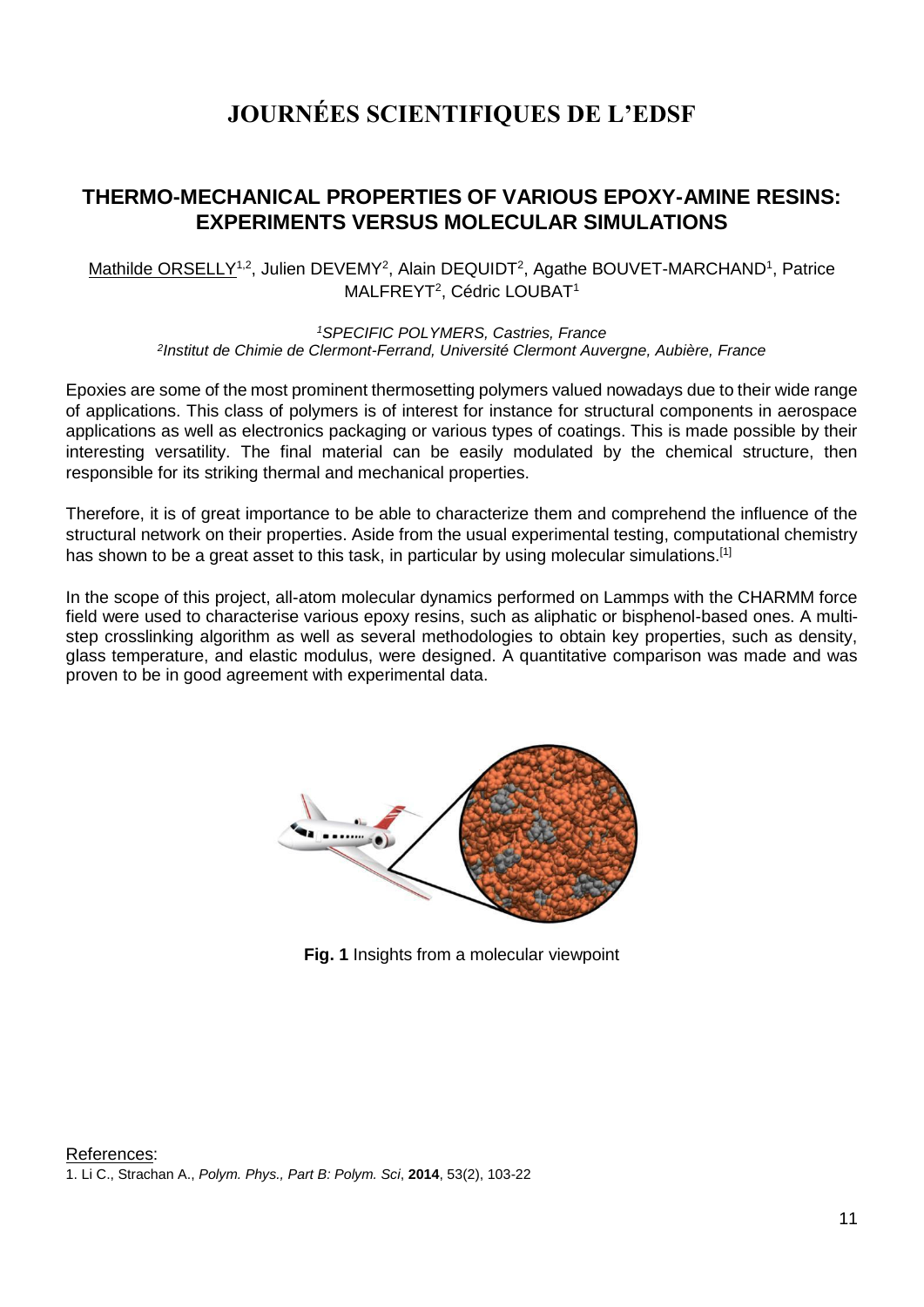## **JOURNÉES SCIENTIFIQUES DE L'EDSF**

### **THERMO-MECHANICAL PROPERTIES OF VARIOUS EPOXY-AMINE RESINS: EXPERIMENTS VERSUS MOLECULAR SIMULATIONS**

#### Mathilde ORSELLY<sup>1,2</sup>, Julien DEVEMY<sup>2</sup>, Alain DEQUIDT<sup>2</sup>, Agathe BOUVET-MARCHAND<sup>1</sup>, Patrice MALFREYT<sup>2</sup>, Cédric LOUBAT<sup>1</sup>

*<sup>1</sup>SPECIFIC POLYMERS, Castries, France 2 Institut de Chimie de Clermont-Ferrand, Université Clermont Auvergne, Aubière, France*

Epoxies are some of the most prominent thermosetting polymers valued nowadays due to their wide range of applications. This class of polymers is of interest for instance for structural components in aerospace applications as well as electronics packaging or various types of coatings. This is made possible by their interesting versatility. The final material can be easily modulated by the chemical structure, then responsible for its striking thermal and mechanical properties.

Therefore, it is of great importance to be able to characterize them and comprehend the influence of the structural network on their properties. Aside from the usual experimental testing, computational chemistry has shown to be a great asset to this task, in particular by using molecular simulations.<sup>[1]</sup>

In the scope of this project, all-atom molecular dynamics performed on Lammps with the CHARMM force field were used to characterise various epoxy resins, such as aliphatic or bisphenol-based ones. A multistep crosslinking algorithm as well as several methodologies to obtain key properties, such as density, glass temperature, and elastic modulus, were designed. A quantitative comparison was made and was proven to be in good agreement with experimental data.



**Fig. 1** Insights from a molecular viewpoint